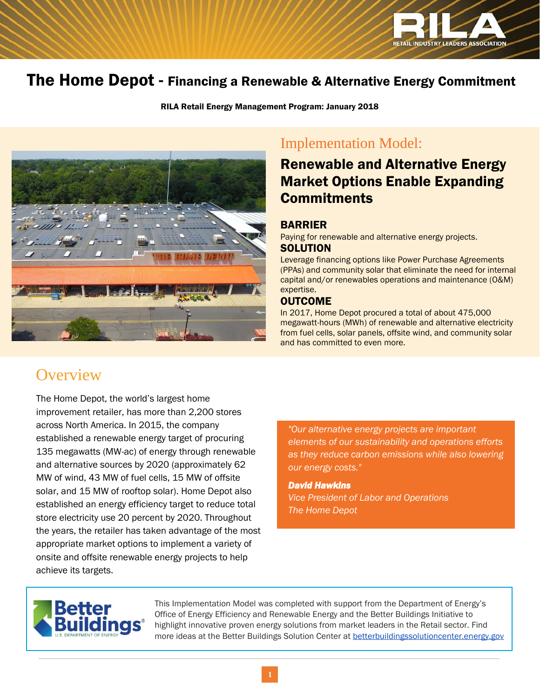

## The Home Depot - Financing a Renewable & Alternative Energy Commitment

RILA Retail Energy Management Program: January 2018



## Implementation Model:

### Renewable and Alternative Energy Market Options Enable Expanding **Commitments**

#### BARRIER

Paying for renewable and alternative energy projects. **SOLUTION** 

Leverage financing options like Power Purchase Agreements (PPAs) and community solar that eliminate the need for internal capital and/or renewables operations and maintenance (O&M) expertise.

#### **OUTCOME**

In 2017, Home Depot procured a total of about 475,000 megawatt-hours (MWh) of renewable and alternative electricity from fuel cells, solar panels, offsite wind, and community solar and has committed to even more.

# **Overview**

The Home Depot, the world's largest home improvement retailer, has more than 2,200 stores across North America. In 2015, the company established a renewable energy target of procuring 135 megawatts (MW-ac) of energy through renewable and alternative sources by 2020 (approximately 62 MW of wind, 43 MW of fuel cells, 15 MW of offsite solar, and 15 MW of rooftop solar). Home Depot also established an energy efficiency target to reduce total store electricity use 20 percent by 2020. Throughout the years, the retailer has taken advantage of the most appropriate market options to implement a variety of onsite and offsite renewable energy projects to help achieve its targets.

*"Our alternative energy projects are important elements of our sustainability and operations efforts as they reduce carbon emissions while also lowering our energy costs."*

#### *David Hawkins*

*Vice President of Labor and Operations The Home Depot*



This Implementation Model was completed with support from the Department of Energy's Office of Energy Efficiency and Renewable Energy and the Better Buildings Initiative to highlight innovative proven energy solutions from market leaders in the Retail sector. Find more ideas at the Better Buildings Solution Center at [betterbuildingssolutioncenter.energy.gov](http://betterbuildingssolutioncenter.energy.gov/)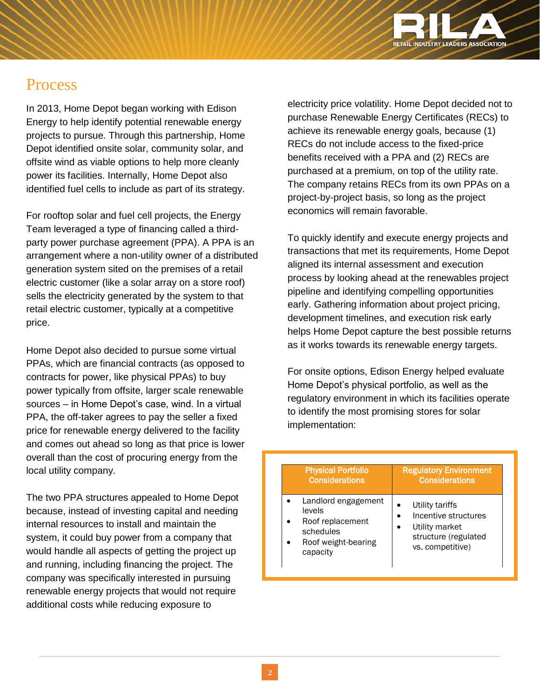

## **Process**

In 2013, Home Depot began working with Edison Energy to help identify potential renewable energy projects to pursue. Through this partnership, Home Depot identified onsite solar, community solar, and offsite wind as viable options to help more cleanly power its facilities. Internally, Home Depot also identified fuel cells to include as part of its strategy.

For rooftop solar and fuel cell projects, the Energy Team leveraged a type of financing called a thirdparty power purchase agreement (PPA). A PPA is an arrangement where a non-utility owner of a distributed generation system sited on the premises of a retail electric customer (like a solar array on a store roof) sells the electricity generated by the system to that retail electric customer, typically at a competitive price.

Home Depot also decided to pursue some virtual PPAs, which are financial contracts (as opposed to contracts for power, like physical PPAs) to buy power typically from offsite, larger scale renewable sources – in Home Depot's case, wind. In a virtual PPA, the off-taker agrees to pay the seller a fixed price for renewable energy delivered to the facility and comes out ahead so long as that price is lower overall than the cost of procuring energy from the local utility company.

The two PPA structures appealed to Home Depot because, instead of investing capital and needing internal resources to install and maintain the system, it could buy power from a company that would handle all aspects of getting the project up and running, including financing the project. The company was specifically interested in pursuing renewable energy projects that would not require additional costs while reducing exposure to

electricity price volatility. Home Depot decided not to purchase Renewable Energy Certificates (RECs) to achieve its renewable energy goals, because (1) RECs do not include access to the fixed-price benefits received with a PPA and (2) RECs are purchased at a premium, on top of the utility rate. The company retains RECs from its own PPAs on a project-by-project basis, so long as the project economics will remain favorable.

To quickly identify and execute energy projects and transactions that met its requirements, Home Depot aligned its internal assessment and execution process by looking ahead at the renewables project pipeline and identifying compelling opportunities early. Gathering information about project pricing, development timelines, and execution risk early helps Home Depot capture the best possible returns as it works towards its renewable energy targets.

For onsite options, Edison Energy helped evaluate Home Depot's physical portfolio, as well as the regulatory environment in which its facilities operate to identify the most promising stores for solar implementation:

| <b>Physical Portfolio</b>                                                                         | <b>Regulatory Environment</b>                                                                         |
|---------------------------------------------------------------------------------------------------|-------------------------------------------------------------------------------------------------------|
| <b>Considerations</b>                                                                             | <b>Considerations</b>                                                                                 |
| Landlord engagement<br>levels<br>Roof replacement<br>schedules<br>Roof weight-bearing<br>capacity | Utility tariffs<br>Incentive structures<br>Utility market<br>structure (regulated<br>vs. competitive) |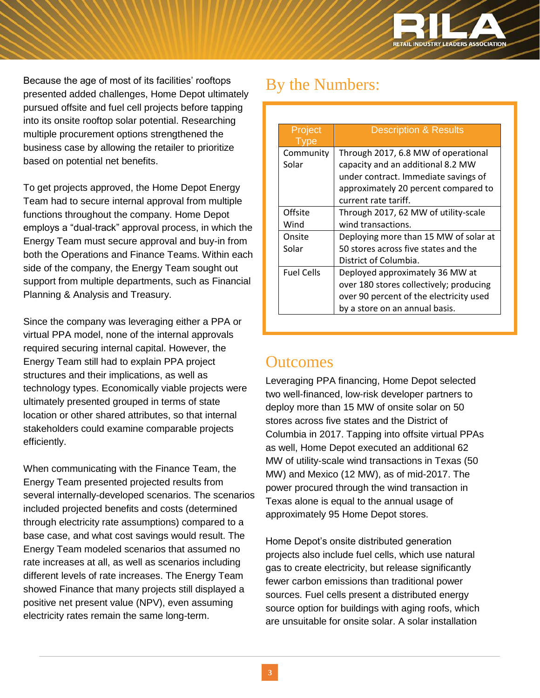

Because the age of most of its facilities' rooftops presented added challenges, Home Depot ultimately pursued offsite and fuel cell projects before tapping into its onsite rooftop solar potential. Researching multiple procurement options strengthened the business case by allowing the retailer to prioritize based on potential net benefits.

To get projects approved, the Home Depot Energy Team had to secure internal approval from multiple functions throughout the company. Home Depot employs a "dual-track" approval process, in which the Energy Team must secure approval and buy-in from both the Operations and Finance Teams. Within each side of the company, the Energy Team sought out support from multiple departments, such as Financial Planning & Analysis and Treasury.

Since the company was leveraging either a PPA or virtual PPA model, none of the internal approvals required securing internal capital. However, the Energy Team still had to explain PPA project structures and their implications, as well as technology types. Economically viable projects were ultimately presented grouped in terms of state location or other shared attributes, so that internal stakeholders could examine comparable projects efficiently.

When communicating with the Finance Team, the Energy Team presented projected results from several internally-developed scenarios. The scenarios included projected benefits and costs (determined through electricity rate assumptions) compared to a base case, and what cost savings would result. The Energy Team modeled scenarios that assumed no rate increases at all, as well as scenarios including different levels of rate increases. The Energy Team showed Finance that many projects still displayed a positive net present value (NPV), even assuming electricity rates remain the same long-term.

## By the Numbers:

| Project<br>vne    | <b>Description &amp; Results</b>        |
|-------------------|-----------------------------------------|
| Community         | Through 2017, 6.8 MW of operational     |
| Solar             | capacity and an additional 8.2 MW       |
|                   | under contract. Immediate savings of    |
|                   | approximately 20 percent compared to    |
|                   | current rate tariff.                    |
| Offsite           | Through 2017, 62 MW of utility-scale    |
| Wind              | wind transactions.                      |
| Onsite            | Deploying more than 15 MW of solar at   |
| Solar             | 50 stores across five states and the    |
|                   | District of Columbia.                   |
| <b>Fuel Cells</b> | Deployed approximately 36 MW at         |
|                   | over 180 stores collectively; producing |
|                   | over 90 percent of the electricity used |
|                   | by a store on an annual basis.          |

### **Outcomes**

Leveraging PPA financing, Home Depot selected two well-financed, low-risk developer partners to deploy more than 15 MW of onsite solar on 50 stores across five states and the District of Columbia in 2017. Tapping into offsite virtual PPAs as well, Home Depot executed an additional 62 MW of utility-scale wind transactions in Texas (50 MW) and Mexico (12 MW), as of mid-2017. The power procured through the wind transaction in Texas alone is equal to the annual usage of approximately 95 Home Depot stores.

Home Depot's onsite distributed generation projects also include fuel cells, which use natural gas to create electricity, but release significantly fewer carbon emissions than traditional power sources. Fuel cells present a distributed energy source option for buildings with aging roofs, which are unsuitable for onsite solar. A solar installation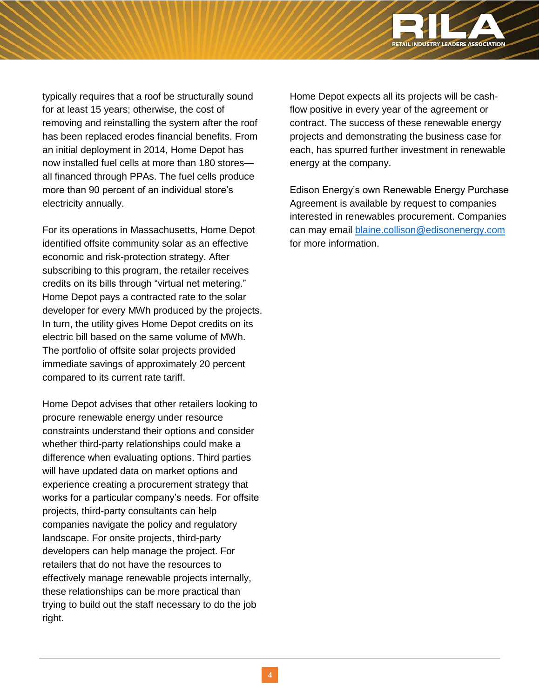

typically requires that a roof be structurally sound for at least 15 years; otherwise, the cost of removing and reinstalling the system after the roof has been replaced erodes financial benefits. From an initial deployment in 2014, Home Depot has now installed fuel cells at more than 180 stores all financed through PPAs. The fuel cells produce more than 90 percent of an individual store's electricity annually.

For its operations in Massachusetts, Home Depot identified offsite community solar as an effective economic and risk-protection strategy. After subscribing to this program, the retailer receives credits on its bills through "virtual net metering." Home Depot pays a contracted rate to the solar developer for every MWh produced by the projects. In turn, the utility gives Home Depot credits on its electric bill based on the same volume of MWh. The portfolio of offsite solar projects provided immediate savings of approximately 20 percent compared to its current rate tariff.

Home Depot advises that other retailers looking to procure renewable energy under resource constraints understand their options and consider whether third-party relationships could make a difference when evaluating options. Third parties will have updated data on market options and experience creating a procurement strategy that works for a particular company's needs. For offsite projects, third-party consultants can help companies navigate the policy and regulatory landscape. For onsite projects, third-party developers can help manage the project. For retailers that do not have the resources to effectively manage renewable projects internally, these relationships can be more practical than trying to build out the staff necessary to do the job right.

Home Depot expects all its projects will be cashflow positive in every year of the agreement or contract. The success of these renewable energy projects and demonstrating the business case for each, has spurred further investment in renewable energy at the company.

Edison Energy's own Renewable Energy Purchase Agreement is available by request to companies interested in renewables procurement. Companies can may email [blaine.collison@edisonenergy.com](mailto:blaine.collison@edisonenergy.com) for more information.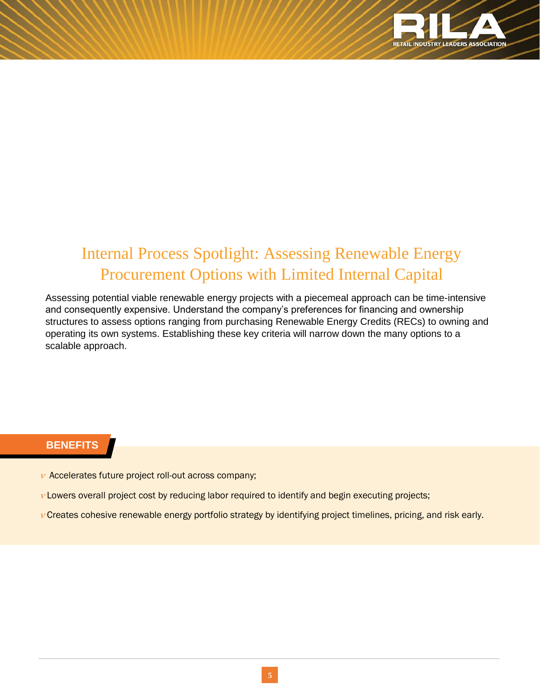

# Internal Process Spotlight: Assessing Renewable Energy Procurement Options with Limited Internal Capital

Assessing potential viable renewable energy projects with a piecemeal approach can be time-intensive and consequently expensive. Understand the company's preferences for financing and ownership structures to assess options ranging from purchasing Renewable Energy Credits (RECs) to owning and operating its own systems. Establishing these key criteria will narrow down the many options to a scalable approach.

#### **BENEFITS**

l

- $\nu$  Accelerates future project roll-out across company;
- $\nu$  Lowers overall project cost by reducing labor required to identify and begin executing projects;
- $\nu$  Creates cohesive renewable energy portfolio strategy by identifying project timelines, pricing, and risk early.